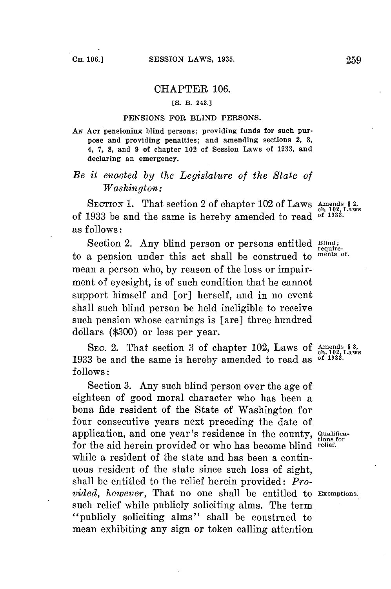## CHAPTER **106.**

## **[S. B. 242.]**

## **PENSIONS FOR BLIND PERSONS.**

AN AcT pensioning blind persons; providing funds for such purpose and providing penalties; and amending sections 2, **3,** 4, **7, 8,** and **9** of chapter 102 of Session Laws of **1933,** and declaring an emergency.

## *Be it enacted by the Legislature of the State of Washington:*

SECTION 1. That section 2 of chapter 102 of Laws Amends \$2, of **1933** be and the same is hereby amended to read **of 1933.** as follows:

Section 2. Any blind person or persons entitled **Blind**;<br>a pension under this act shall be construed to ments of. to a pension under this act shall be construed to mean a person who, **by** reason of the loss or impairment of eyesight, is of such condition that he cannot support himself and [or] herself, and in no event shall such blind person be held ineligible to receive such pension whose earnings is [are] three hundred dollars **(\$300)** or less per *year.*

SEC. 2. That section 3 of chapter 102, Laws of Amends \$3, **1933** be and the same is hereby amended to read as **of 1933. follows:**

Section **3.** Any such blind person over the age of eighteen of good moral character who has been a bona fide resident of the State of Washington for four consecutive years next preceding the date of application, and one year's residence in the county, **Qualifical** tions for **for** the aid herein provided or who has become blind **reief.** while a resident of the state and has been a continuous resident of the state since such loss of sight, shall be entitled to the relief herein provided: *Provided, however,* That no one shall be entitled to **Exemptions.** such relief while publicly soliciting alms. The term "publicly soliciting alms" shall be construed to mean exhibiting any sign or token calling attention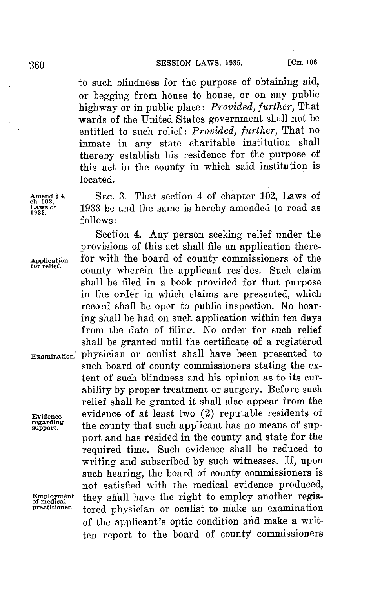to such blindness for the purpose of obtaining aid, or begging from house to house, or on any public highway or in public place: *Provided, further,* That wards of the United States government shall not be entitled to such relief: *Provided, further,* That no inmate in any state charitable institution shall thereby establish his residence for the purpose of this act in the county in which said institution is located.

**Amend § 4, SEC. 3.** That section 4 of chapter 102, Laws of **La3 of 1933** be and the same is hereby amended to read as *follows:*

Section 4. Any person seeking relief under the provisions of this act shall file an application there-Application for with the board of county commissioners of the **for relief.** county wherein the applicant resides. Such claim shall **be** filed in a book provided for that purpose in the order in which claims are presented, which record shall be open to public inspection. No hearing shall be had on such application within ten days from the date of filing. No order **for** such relief shall be granted until the certificate of a registered Examination, physician or oculist shall have been presented to such board of county commissioners stating the extent of such blindness and his opinion as to its curability **by** proper treatment or surgery. Before such relief shall be granted it shall also appear from the **Evidence** evidence of at least two (2) reputable residents of regarding the county that such applicant has no means of support and has resided in the county and state **for** the required time. Such evidence shall be reduced to writing and subscribed **by** such witnesses. If, upon such hearing, the board of county commissioners is not satisfied with the medical evidence produced, Employment they shall have the right to employ another regis-<br>practitioner. torod physician or oculist to make an examination tered physician or oculist to make an examination of the applicant's optic condition and make a written report to the board of county commissioners

ch. 102,<br>Laws of<br>1933.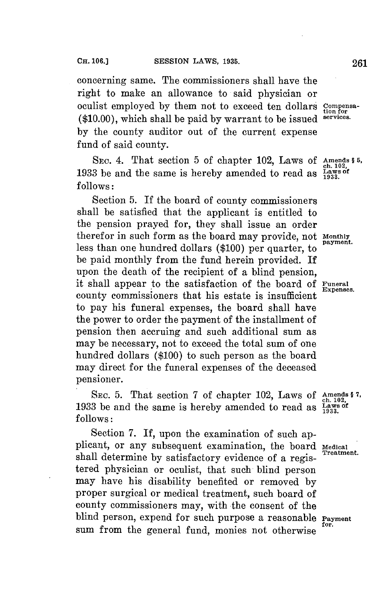concerning same. The commissioners shall have the right to make an allowance to said physician or oculist employed **by** them not to exceed ten dollars **Compensa- (\$10.00),** which shall be paid **by** warrant to be issued **services. by** the county auditor out of the current expense fund of said county.

SEC. 4. That section 5 of chapter 102, Laws of Amends \$ 5,<br>3 be and the same is hereby amended to read as  $\frac{2 \text{ days of}}{1933}$ **1933** be and the same is hereby amended to read as **Ls of follows:**

Section **5.** If the board of county commissioners shall be satisfied that the applicant is entitled to the pension prayed for, they shall issue an order therefor in such form as the board may provide, not **monthly** less than one hundred dollars (\$100) per quarter, to be paid monthly from the fund herein provided. **If** upon the death of the recipient of a blind pension, it shall appear to the satisfaction of the board of **Funeral** county commissioners that his estate is insufficient to pay his funeral expenses, the board shall have the power to order the payment of the installment of pension then accruing and such additional sum as may be necessary, not to exceed the total sum of one hundred dollars **(\$100)** to such person as the board may direct for the funeral expenses of the deceased pensioner.

SEC. 5. That section 7 of chapter 102, Laws of Amends \$7. **1933** be and the same is hereby amended to read as  $\frac{\text{max}}{1933}$ . **follows:**

Section **7. If,** upon the examination of such applicant, or any subsequent examination, the board Medical Treatment. shall determine by satisfactory evidence of a registered physician or oculist, that such blind person may have his disability benefited or removed **by** proper surgical or medical treatment, such board of county commissioners may, with the consent of the blind person, expend for such purpose a reasonable **Paymen** sum from the general fund, monies not otherwise